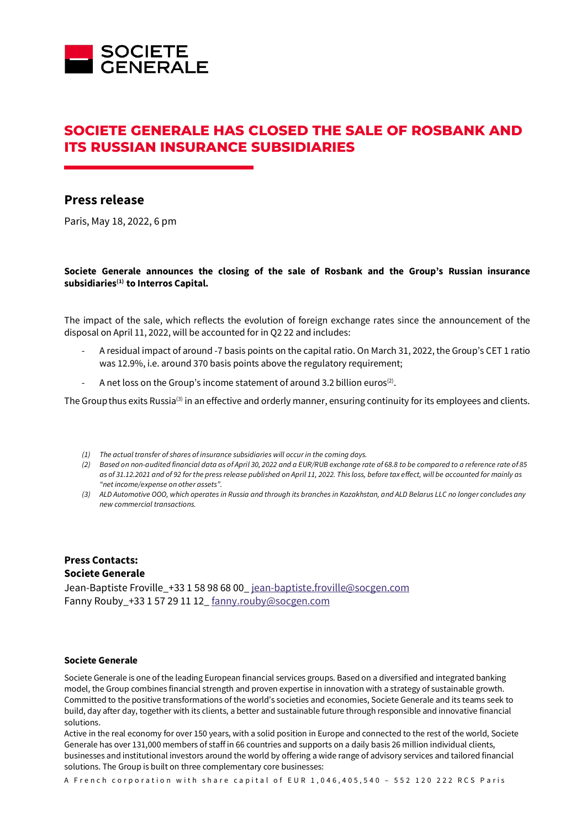

# **SOCIETE GENERALE HAS CLOSED THE SALE OF ROSBANK AND ITS RUSSIAN INSURANCE SUBSIDIARIES**

## **Press release**

Paris, May 18, 2022, 6 pm

### **Societe Generale announces the closing of the sale of Rosbank and the Group's Russian insurance subsidiaries(1) to Interros Capital.**

The impact of the sale, which reflects the evolution of foreign exchange rates since the announcement of the disposal on April 11, 2022, will be accounted for in Q2 22 and includes:

- A residual impact of around -7 basis points on the capital ratio. On March 31, 2022, the Group's CET 1 ratio was 12.9%, i.e. around 370 basis points above the regulatory requirement;
- A net loss on the Group's income statement of around 3.2 billion euros<sup>(2)</sup>.

The Group thus exits Russia<sup>(3)</sup> in an effective and orderly manner, ensuring continuity for its employees and clients.

- *(1) The actual transfer of shares of insurance subsidiaries will occur in the coming days.*
- *(2) Based on non-audited financial data as of April 30, 2022 and a EUR/RUB exchange rate of 68.8 to be compared to a reference rate of 85 as of 31.12.2021 and of 92 for the press release published on April 11, 2022. This loss, before tax effect, will be accounted for mainly as "net income/expense on other assets".*
- *(3) ALD Automotive OOO, which operates in Russia and through its branches in Kazakhstan, and ALD Belarus LLC no longer concludes any new commercial transactions.*

### **Press Contacts: Societe Generale**

Jean-Baptiste Froville\_+33 1 58 98 68 00[\\_ jean-baptiste.froville@socgen.com](mailto:jean-baptiste.froville@socgen.com) Fanny Rouby +33 1 57 29 11 12 [fanny.rouby@socgen.com](mailto:fanny.rouby@socgen.com)

#### **Societe Generale**

Societe Generale is one of the leading European financial services groups. Based on a diversified and integrated banking model, the Group combines financial strength and proven expertise in innovation with a strategy of sustainable growth. Committed to the positive transformations of the world's societies and economies, Societe Generale and its teams seek to build, day after day, together with its clients, a better and sustainable future through responsible and innovative financial solutions.

Active in the real economy for over 150 years, with a solid position in Europe and connected to the rest of the world, Societe Generale has over 131,000 members of staff in 66 countries and supports on a daily basis 26 million individual clients, businesses and institutional investors around the world by offering a wide range of advisory services and tailored financial solutions. The Group is built on three complementary core businesses:

A French corporation with share capital of EUR 1,046,405,540 - 552 120 222 RCS Paris